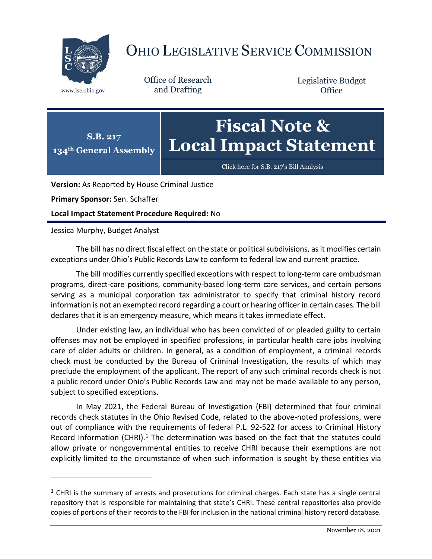

## OHIO LEGISLATIVE SERVICE COMMISSION

Office of Research www.lsc.ohio.gov and Drafting

Legislative Budget **Office** 

## **S.B. 217 134th General Assembly Fiscal Note & Local Impact Statement**

[Click here for S.B. 217](https://www.legislature.ohio.gov/legislation/legislation-documents?id=GA134-SB-217)'s Bill Analysis

**Version:** As Reported by House Criminal Justice

**Primary Sponsor:** Sen. Schaffer

**Local Impact Statement Procedure Required:** No

## Jessica Murphy, Budget Analyst

 $\overline{a}$ 

The bill has no direct fiscal effect on the state or political subdivisions, as it modifies certain exceptions under Ohio's Public Records Law to conform to federal law and current practice.

The bill modifies currently specified exceptions with respect to long-term care ombudsman programs, direct-care positions, community-based long-term care services, and certain persons serving as a municipal corporation tax administrator to specify that criminal history record information is not an exempted record regarding a court or hearing officer in certain cases. The bill declares that it is an emergency measure, which means it takes immediate effect.

Under existing law, an individual who has been convicted of or pleaded guilty to certain offenses may not be employed in specified professions, in particular health care jobs involving care of older adults or children. In general, as a condition of employment, a criminal records check must be conducted by the Bureau of Criminal Investigation, the results of which may preclude the employment of the applicant. The report of any such criminal records check is not a public record under Ohio's Public Records Law and may not be made available to any person, subject to specified exceptions.

In May 2021, the Federal Bureau of Investigation (FBI) determined that four criminal records check statutes in the Ohio Revised Code, related to the above-noted professions, were out of compliance with the requirements of federal P.L. 92-522 for access to Criminal History Record Information (CHRI).<sup>1</sup> The determination was based on the fact that the statutes could allow private or nongovernmental entities to receive CHRI because their exemptions are not explicitly limited to the circumstance of when such information is sought by these entities via

 $<sup>1</sup>$  CHRI is the summary of arrests and prosecutions for criminal charges. Each state has a single central</sup> repository that is responsible for maintaining that state's CHRI. These central repositories also provide copies of portions of their records to the FBI for inclusion in the national criminal history record database.